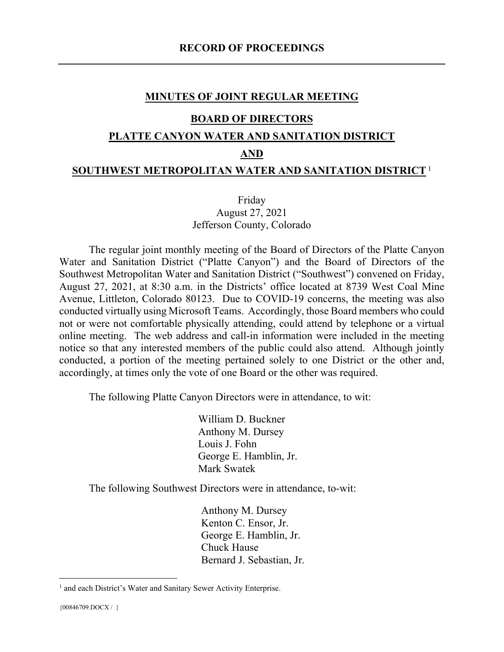## **MINUTES OF JOINT REGULAR MEETING**

#### **BOARD OF DIRECTORS**

#### **PLATTE CANYON WATER AND SANITATION DISTRICT**

#### **AND**

#### **SOUTHWEST METROPOLITAN WATER AND SANITATION DISTRICT**<sup>1</sup>

#### Friday August 27, 2021 Jefferson County, Colorado

The regular joint monthly meeting of the Board of Directors of the Platte Canyon Water and Sanitation District ("Platte Canyon") and the Board of Directors of the Southwest Metropolitan Water and Sanitation District ("Southwest") convened on Friday, August 27, 2021, at 8:30 a.m. in the Districts' office located at 8739 West Coal Mine Avenue, Littleton, Colorado 80123. Due to COVID-19 concerns, the meeting was also conducted virtually using Microsoft Teams. Accordingly, those Board members who could not or were not comfortable physically attending, could attend by telephone or a virtual online meeting. The web address and call-in information were included in the meeting notice so that any interested members of the public could also attend. Although jointly conducted, a portion of the meeting pertained solely to one District or the other and, accordingly, at times only the vote of one Board or the other was required.

The following Platte Canyon Directors were in attendance, to wit:

William D. Buckner Anthony M. Dursey Louis J. Fohn George E. Hamblin, Jr. Mark Swatek

The following Southwest Directors were in attendance, to-wit:

Anthony M. Dursey Kenton C. Ensor, Jr. George E. Hamblin, Jr. Chuck Hause Bernard J. Sebastian, Jr.

<sup>&</sup>lt;sup>1</sup> and each District's Water and Sanitary Sewer Activity Enterprise.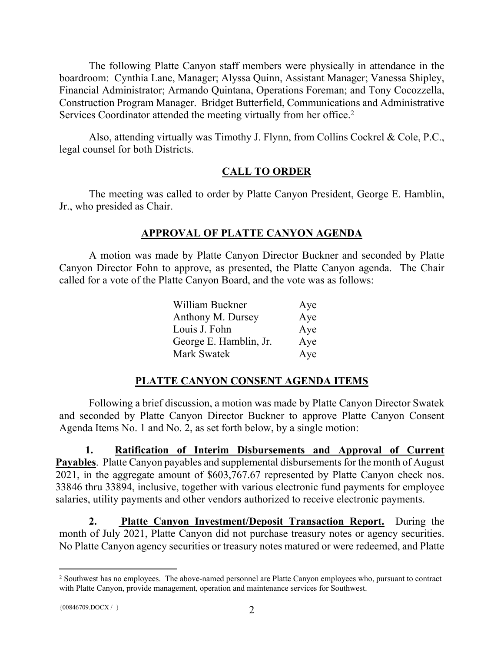The following Platte Canyon staff members were physically in attendance in the boardroom: Cynthia Lane, Manager; Alyssa Quinn, Assistant Manager; Vanessa Shipley, Financial Administrator; Armando Quintana, Operations Foreman; and Tony Cocozzella, Construction Program Manager. Bridget Butterfield, Communications and Administrative Services Coordinator attended the meeting virtually from her office.<sup>2</sup>

Also, attending virtually was Timothy J. Flynn, from Collins Cockrel & Cole, P.C., legal counsel for both Districts.

# **CALL TO ORDER**

The meeting was called to order by Platte Canyon President, George E. Hamblin, Jr., who presided as Chair.

## **APPROVAL OF PLATTE CANYON AGENDA**

A motion was made by Platte Canyon Director Buckner and seconded by Platte Canyon Director Fohn to approve, as presented, the Platte Canyon agenda. The Chair called for a vote of the Platte Canyon Board, and the vote was as follows:

| William Buckner        | Aye |
|------------------------|-----|
| Anthony M. Dursey      | Aye |
| Louis J. Fohn          | Aye |
| George E. Hamblin, Jr. | Aye |
| Mark Swatek            | Aye |

# **PLATTE CANYON CONSENT AGENDA ITEMS**

Following a brief discussion, a motion was made by Platte Canyon Director Swatek and seconded by Platte Canyon Director Buckner to approve Platte Canyon Consent Agenda Items No. 1 and No. 2, as set forth below, by a single motion:

**1. Ratification of Interim Disbursements and Approval of Current Payables**. Platte Canyon payables and supplemental disbursements for the month of August 2021, in the aggregate amount of \$603,767.67 represented by Platte Canyon check nos. 33846 thru 33894, inclusive, together with various electronic fund payments for employee salaries, utility payments and other vendors authorized to receive electronic payments.

**2. Platte Canyon Investment/Deposit Transaction Report.** During the month of July 2021, Platte Canyon did not purchase treasury notes or agency securities. No Platte Canyon agency securities or treasury notes matured or were redeemed, and Platte

<sup>&</sup>lt;sup>2</sup> Southwest has no employees. The above-named personnel are Platte Canyon employees who, pursuant to contract with Platte Canyon, provide management, operation and maintenance services for Southwest.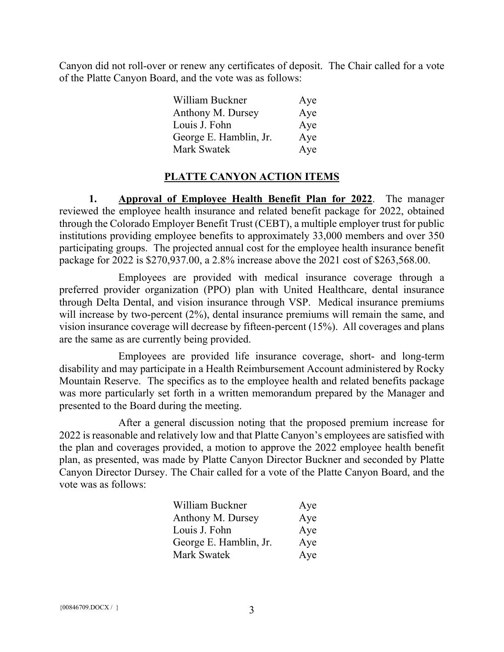Canyon did not roll-over or renew any certificates of deposit. The Chair called for a vote of the Platte Canyon Board, and the vote was as follows:

| William Buckner        | Aye |
|------------------------|-----|
| Anthony M. Dursey      | Aye |
| Louis J. Fohn          | Aye |
| George E. Hamblin, Jr. | Aye |
| Mark Swatek            | Aye |

## **PLATTE CANYON ACTION ITEMS**

**1. Approval of Employee Health Benefit Plan for 2022**. The manager reviewed the employee health insurance and related benefit package for 2022, obtained through the Colorado Employer Benefit Trust (CEBT), a multiple employer trust for public institutions providing employee benefits to approximately 33,000 members and over 350 participating groups. The projected annual cost for the employee health insurance benefit package for 2022 is \$270,937.00, a 2.8% increase above the 2021 cost of \$263,568.00.

Employees are provided with medical insurance coverage through a preferred provider organization (PPO) plan with United Healthcare, dental insurance through Delta Dental, and vision insurance through VSP. Medical insurance premiums will increase by two-percent (2%), dental insurance premiums will remain the same, and vision insurance coverage will decrease by fifteen-percent (15%). All coverages and plans are the same as are currently being provided.

Employees are provided life insurance coverage, short- and long-term disability and may participate in a Health Reimbursement Account administered by Rocky Mountain Reserve. The specifics as to the employee health and related benefits package was more particularly set forth in a written memorandum prepared by the Manager and presented to the Board during the meeting.

After a general discussion noting that the proposed premium increase for 2022 is reasonable and relatively low and that Platte Canyon's employees are satisfied with the plan and coverages provided, a motion to approve the 2022 employee health benefit plan, as presented, was made by Platte Canyon Director Buckner and seconded by Platte Canyon Director Dursey. The Chair called for a vote of the Platte Canyon Board, and the vote was as follows:

| William Buckner        | Aye |
|------------------------|-----|
| Anthony M. Dursey      | Aye |
| Louis J. Fohn          | Aye |
| George E. Hamblin, Jr. | Aye |
| Mark Swatek            | Aye |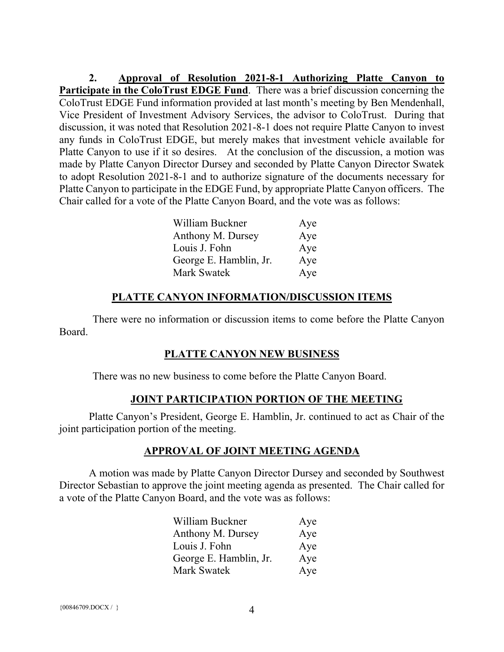**2. Approval of Resolution 2021-8-1 Authorizing Platte Canyon to Participate in the ColoTrust EDGE Fund**. There was a brief discussion concerning the ColoTrust EDGE Fund information provided at last month's meeting by Ben Mendenhall, Vice President of Investment Advisory Services, the advisor to ColoTrust. During that discussion, it was noted that Resolution 2021-8-1 does not require Platte Canyon to invest any funds in ColoTrust EDGE, but merely makes that investment vehicle available for Platte Canyon to use if it so desires. At the conclusion of the discussion, a motion was made by Platte Canyon Director Dursey and seconded by Platte Canyon Director Swatek to adopt Resolution 2021-8-1 and to authorize signature of the documents necessary for Platte Canyon to participate in the EDGE Fund, by appropriate Platte Canyon officers. The Chair called for a vote of the Platte Canyon Board, and the vote was as follows:

| William Buckner        | Aye |
|------------------------|-----|
| Anthony M. Dursey      | Aye |
| Louis J. Fohn          | Aye |
| George E. Hamblin, Jr. | Aye |
| Mark Swatek            | Aye |

#### **PLATTE CANYON INFORMATION/DISCUSSION ITEMS**

There were no information or discussion items to come before the Platte Canyon Board.

## **PLATTE CANYON NEW BUSINESS**

There was no new business to come before the Platte Canyon Board.

## **JOINT PARTICIPATION PORTION OF THE MEETING**

Platte Canyon's President, George E. Hamblin, Jr. continued to act as Chair of the joint participation portion of the meeting.

## **APPROVAL OF JOINT MEETING AGENDA**

A motion was made by Platte Canyon Director Dursey and seconded by Southwest Director Sebastian to approve the joint meeting agenda as presented. The Chair called for a vote of the Platte Canyon Board, and the vote was as follows:

| William Buckner        | Aye |
|------------------------|-----|
| Anthony M. Dursey      | Aye |
| Louis J. Fohn          | Aye |
| George E. Hamblin, Jr. | Aye |
| Mark Swatek            | Aye |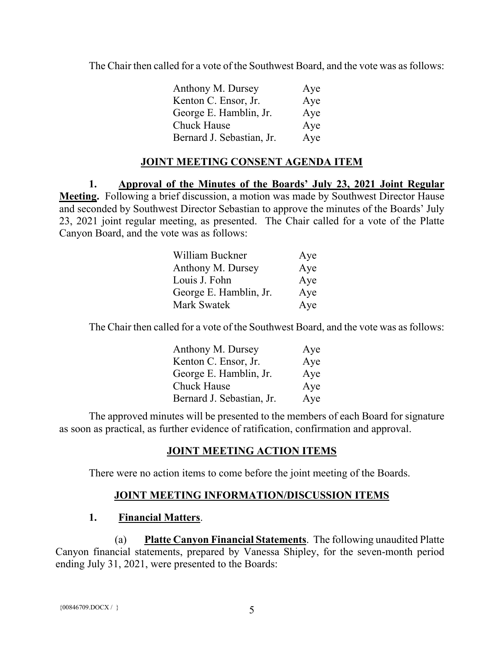The Chair then called for a vote of the Southwest Board, and the vote was as follows:

| Anthony M. Dursey         | Aye |
|---------------------------|-----|
| Kenton C. Ensor, Jr.      | Aye |
| George E. Hamblin, Jr.    | Aye |
| <b>Chuck Hause</b>        | Aye |
| Bernard J. Sebastian, Jr. | Aye |

## **JOINT MEETING CONSENT AGENDA ITEM**

**1. Approval of the Minutes of the Boards' July 23, 2021 Joint Regular Meeting.** Following a brief discussion, a motion was made by Southwest Director Hause and seconded by Southwest Director Sebastian to approve the minutes of the Boards' July 23, 2021 joint regular meeting, as presented. The Chair called for a vote of the Platte Canyon Board, and the vote was as follows:

| William Buckner        | Aye |
|------------------------|-----|
| Anthony M. Dursey      | Aye |
| Louis J. Fohn          | Aye |
| George E. Hamblin, Jr. | Aye |
| Mark Swatek            | Aye |

The Chair then called for a vote of the Southwest Board, and the vote was as follows:

| Anthony M. Dursey         | Aye |
|---------------------------|-----|
| Kenton C. Ensor, Jr.      | Aye |
| George E. Hamblin, Jr.    | Aye |
| <b>Chuck Hause</b>        | Aye |
| Bernard J. Sebastian, Jr. | Aye |

The approved minutes will be presented to the members of each Board for signature as soon as practical, as further evidence of ratification, confirmation and approval.

## **JOINT MEETING ACTION ITEMS**

There were no action items to come before the joint meeting of the Boards.

# **JOINT MEETING INFORMATION/DISCUSSION ITEMS**

## **1. Financial Matters**.

(a) **Platte Canyon Financial Statements**. The following unaudited Platte Canyon financial statements, prepared by Vanessa Shipley, for the seven-month period ending July 31, 2021, were presented to the Boards: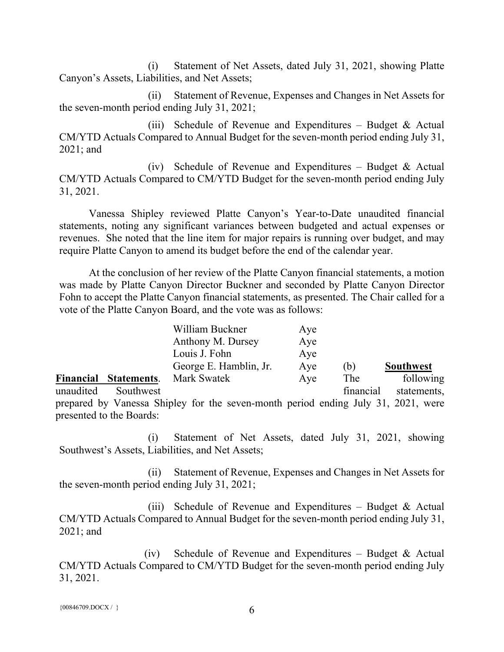(i) Statement of Net Assets, dated July 31, 2021, showing Platte Canyon's Assets, Liabilities, and Net Assets;

(ii) Statement of Revenue, Expenses and Changes in Net Assets for the seven-month period ending July 31, 2021;

(iii) Schedule of Revenue and Expenditures – Budget & Actual CM/YTD Actuals Compared to Annual Budget for the seven-month period ending July 31, 2021; and

(iv) Schedule of Revenue and Expenditures – Budget & Actual CM/YTD Actuals Compared to CM/YTD Budget for the seven-month period ending July 31, 2021.

Vanessa Shipley reviewed Platte Canyon's Year-to-Date unaudited financial statements, noting any significant variances between budgeted and actual expenses or revenues. She noted that the line item for major repairs is running over budget, and may require Platte Canyon to amend its budget before the end of the calendar year.

At the conclusion of her review of the Platte Canyon financial statements, a motion was made by Platte Canyon Director Buckner and seconded by Platte Canyon Director Fohn to accept the Platte Canyon financial statements, as presented. The Chair called for a vote of the Platte Canyon Board, and the vote was as follows:

|           |                              | William Buckner                                                                   | Aye |           |                  |
|-----------|------------------------------|-----------------------------------------------------------------------------------|-----|-----------|------------------|
|           |                              | Anthony M. Dursey                                                                 | Aye |           |                  |
|           |                              | Louis J. Fohn                                                                     | Aye |           |                  |
|           |                              | George E. Hamblin, Jr.                                                            | Aye | (b)       | <b>Southwest</b> |
|           | <b>Financial Statements.</b> | Mark Swatek                                                                       | Aye | The       | following        |
| unaudited | Southwest                    |                                                                                   |     | financial | statements,      |
|           |                              | prepared by Vanessa Shipley for the seven-month period ending July 31, 2021, were |     |           |                  |

(i) Statement of Net Assets, dated July 31, 2021, showing Southwest's Assets, Liabilities, and Net Assets;

(ii) Statement of Revenue, Expenses and Changes in Net Assets for the seven-month period ending July 31, 2021;

(iii) Schedule of Revenue and Expenditures – Budget & Actual CM/YTD Actuals Compared to Annual Budget for the seven-month period ending July 31, 2021; and

(iv) Schedule of Revenue and Expenditures – Budget & Actual CM/YTD Actuals Compared to CM/YTD Budget for the seven-month period ending July 31, 2021.

presented to the Boards: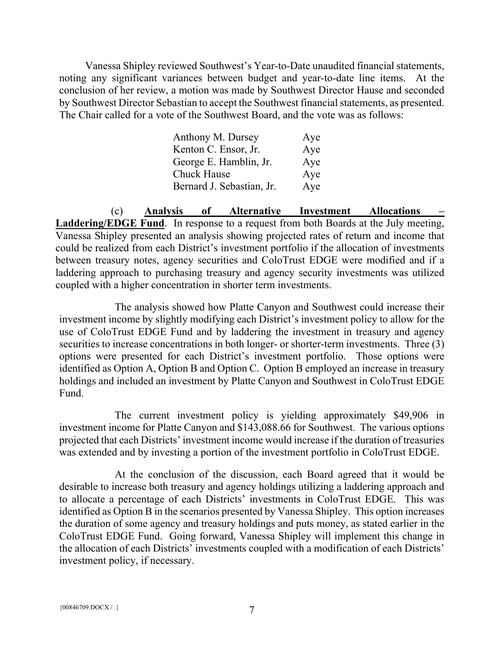Vanessa Shipley reviewed Southwest's Year-to-Date unaudited financial statements, noting any significant variances between budget and year-to-date line items. At the conclusion of her review, a motion was made by Southwest Director Hause and seconded by Southwest Director Sebastian to accept the Southwest financial statements, as presented. The Chair called for a vote of the Southwest Board, and the vote was as follows:

| Anthony M. Dursey         | Aye |
|---------------------------|-----|
| Kenton C. Ensor, Jr.      | Aye |
| George E. Hamblin, Jr.    | Aye |
| Chuck Hause               | Aye |
| Bernard J. Sebastian, Jr. | Aye |

(c) **Analysis of Alternative Investment Allocations – Laddering/EDGE Fund**. In response to a request from both Boards at the July meeting, Vanessa Shipley presented an analysis showing projected rates of return and income that could be realized from each District's investment portfolio if the allocation of investments between treasury notes, agency securities and ColoTrust EDGE were modified and if a laddering approach to purchasing treasury and agency security investments was utilized coupled with a higher concentration in shorter term investments.

The analysis showed how Platte Canyon and Southwest could increase their investment income by slightly modifying each District's investment policy to allow for the use of ColoTrust EDGE Fund and by laddering the investment in treasury and agency securities to increase concentrations in both longer- or shorter-term investments. Three (3) options were presented for each District's investment portfolio. Those options were identified as Option A, Option B and Option C. Option B employed an increase in treasury holdings and included an investment by Platte Canyon and Southwest in ColoTrust EDGE Fund.

The current investment policy is yielding approximately \$49,906 in investment income for Platte Canyon and \$143,088.66 for Southwest. The various options projected that each Districts' investment income would increase if the duration of treasuries was extended and by investing a portion of the investment portfolio in ColoTrust EDGE.

At the conclusion of the discussion, each Board agreed that it would be desirable to increase both treasury and agency holdings utilizing a laddering approach and to allocate a percentage of each Districts' investments in ColoTrust EDGE. This was identified as Option B in the scenarios presented by Vanessa Shipley. This option increases the duration of some agency and treasury holdings and puts money, as stated earlier in the ColoTrust EDGE Fund. Going forward, Vanessa Shipley will implement this change in the allocation of each Districts' investments coupled with a modification of each Districts' investment policy, if necessary.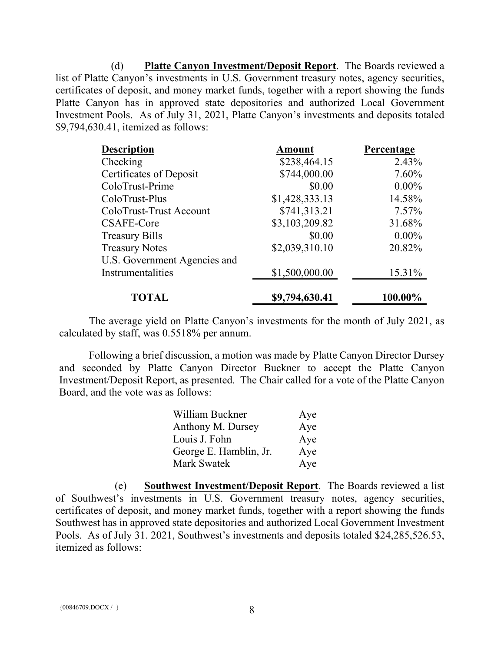(d) **Platte Canyon Investment/Deposit Report**. The Boards reviewed a list of Platte Canyon's investments in U.S. Government treasury notes, agency securities, certificates of deposit, and money market funds, together with a report showing the funds Platte Canyon has in approved state depositories and authorized Local Government Investment Pools. As of July 31, 2021, Platte Canyon's investments and deposits totaled \$9,794,630.41, itemized as follows:

| <b>Description</b>           | <b>Amount</b>  | Percentage |
|------------------------------|----------------|------------|
| Checking                     | \$238,464.15   | 2.43%      |
| Certificates of Deposit      | \$744,000.00   | 7.60%      |
| ColoTrust-Prime              | \$0.00         | $0.00\%$   |
| ColoTrust-Plus               | \$1,428,333.13 | 14.58%     |
| ColoTrust-Trust Account      | \$741,313.21   | 7.57%      |
| CSAFE-Core                   | \$3,103,209.82 | 31.68%     |
| <b>Treasury Bills</b>        | \$0.00         | $0.00\%$   |
| <b>Treasury Notes</b>        | \$2,039,310.10 | 20.82%     |
| U.S. Government Agencies and |                |            |
| Instrumentalities            | \$1,500,000.00 | 15.31%     |
| <b>TOTAL</b>                 | \$9,794,630.41 | 100.00%    |

The average yield on Platte Canyon's investments for the month of July 2021, as calculated by staff, was 0.5518% per annum.

Following a brief discussion, a motion was made by Platte Canyon Director Dursey and seconded by Platte Canyon Director Buckner to accept the Platte Canyon Investment/Deposit Report, as presented. The Chair called for a vote of the Platte Canyon Board, and the vote was as follows:

| William Buckner        | Aye |
|------------------------|-----|
| Anthony M. Dursey      | Aye |
| Louis J. Fohn          | Aye |
| George E. Hamblin, Jr. | Aye |
| Mark Swatek            | Aye |

(e) **Southwest Investment/Deposit Report**. The Boards reviewed a list of Southwest's investments in U.S. Government treasury notes, agency securities, certificates of deposit, and money market funds, together with a report showing the funds Southwest has in approved state depositories and authorized Local Government Investment Pools. As of July 31. 2021, Southwest's investments and deposits totaled \$24,285,526.53, itemized as follows: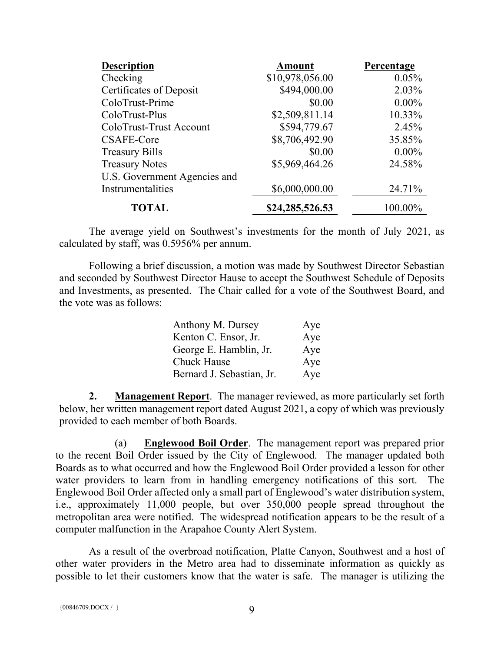| <b>Description</b>           | <b>Amount</b>   | Percentage |
|------------------------------|-----------------|------------|
| Checking                     | \$10,978,056.00 | 0.05%      |
| Certificates of Deposit      | \$494,000.00    | 2.03%      |
| ColoTrust-Prime              | \$0.00          | $0.00\%$   |
| ColoTrust-Plus               | \$2,509,811.14  | 10.33%     |
| ColoTrust-Trust Account      | \$594,779.67    | 2.45%      |
| CSAFE-Core                   | \$8,706,492.90  | 35.85%     |
| <b>Treasury Bills</b>        | \$0.00          | $0.00\%$   |
| <b>Treasury Notes</b>        | \$5,969,464.26  | 24.58%     |
| U.S. Government Agencies and |                 |            |
| Instrumentalities            | \$6,000,000.00  | 24.71%     |
| <b>TOTAL</b>                 | \$24,285,526.53 | 100.00%    |

The average yield on Southwest's investments for the month of July 2021, as calculated by staff, was 0.5956% per annum.

Following a brief discussion, a motion was made by Southwest Director Sebastian and seconded by Southwest Director Hause to accept the Southwest Schedule of Deposits and Investments, as presented. The Chair called for a vote of the Southwest Board, and the vote was as follows:

| Anthony M. Dursey         | Aye |
|---------------------------|-----|
| Kenton C. Ensor, Jr.      | Aye |
| George E. Hamblin, Jr.    | Aye |
| <b>Chuck Hause</b>        | Aye |
| Bernard J. Sebastian, Jr. | Aye |

**2. Management Report**. The manager reviewed, as more particularly set forth below, her written management report dated August 2021, a copy of which was previously provided to each member of both Boards.

(a) **Englewood Boil Order**. The management report was prepared prior to the recent Boil Order issued by the City of Englewood. The manager updated both Boards as to what occurred and how the Englewood Boil Order provided a lesson for other water providers to learn from in handling emergency notifications of this sort. The Englewood Boil Order affected only a small part of Englewood's water distribution system, i.e., approximately 11,000 people, but over 350,000 people spread throughout the metropolitan area were notified. The widespread notification appears to be the result of a computer malfunction in the Arapahoe County Alert System.

As a result of the overbroad notification, Platte Canyon, Southwest and a host of other water providers in the Metro area had to disseminate information as quickly as possible to let their customers know that the water is safe. The manager is utilizing the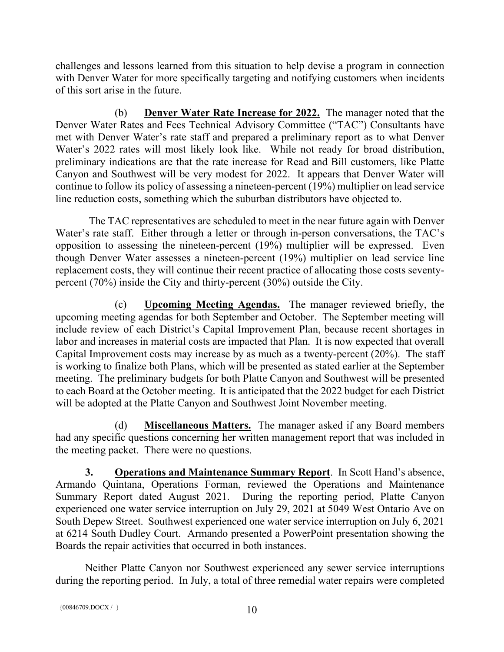challenges and lessons learned from this situation to help devise a program in connection with Denver Water for more specifically targeting and notifying customers when incidents of this sort arise in the future.

(b) **Denver Water Rate Increase for 2022.** The manager noted that the Denver Water Rates and Fees Technical Advisory Committee ("TAC") Consultants have met with Denver Water's rate staff and prepared a preliminary report as to what Denver Water's 2022 rates will most likely look like. While not ready for broad distribution, preliminary indications are that the rate increase for Read and Bill customers, like Platte Canyon and Southwest will be very modest for 2022. It appears that Denver Water will continue to follow its policy of assessing a nineteen-percent (19%) multiplier on lead service line reduction costs, something which the suburban distributors have objected to.

The TAC representatives are scheduled to meet in the near future again with Denver Water's rate staff. Either through a letter or through in-person conversations, the TAC's opposition to assessing the nineteen-percent (19%) multiplier will be expressed. Even though Denver Water assesses a nineteen-percent (19%) multiplier on lead service line replacement costs, they will continue their recent practice of allocating those costs seventypercent (70%) inside the City and thirty-percent (30%) outside the City.

(c) **Upcoming Meeting Agendas.** The manager reviewed briefly, the upcoming meeting agendas for both September and October. The September meeting will include review of each District's Capital Improvement Plan, because recent shortages in labor and increases in material costs are impacted that Plan. It is now expected that overall Capital Improvement costs may increase by as much as a twenty-percent (20%). The staff is working to finalize both Plans, which will be presented as stated earlier at the September meeting. The preliminary budgets for both Platte Canyon and Southwest will be presented to each Board at the October meeting. It is anticipated that the 2022 budget for each District will be adopted at the Platte Canyon and Southwest Joint November meeting.

(d) **Miscellaneous Matters.** The manager asked if any Board members had any specific questions concerning her written management report that was included in the meeting packet. There were no questions.

**3. Operations and Maintenance Summary Report**. In Scott Hand's absence, Armando Quintana, Operations Forman, reviewed the Operations and Maintenance Summary Report dated August 2021. During the reporting period, Platte Canyon experienced one water service interruption on July 29, 2021 at 5049 West Ontario Ave on South Depew Street. Southwest experienced one water service interruption on July 6, 2021 at 6214 South Dudley Court. Armando presented a PowerPoint presentation showing the Boards the repair activities that occurred in both instances.

Neither Platte Canyon nor Southwest experienced any sewer service interruptions during the reporting period. In July, a total of three remedial water repairs were completed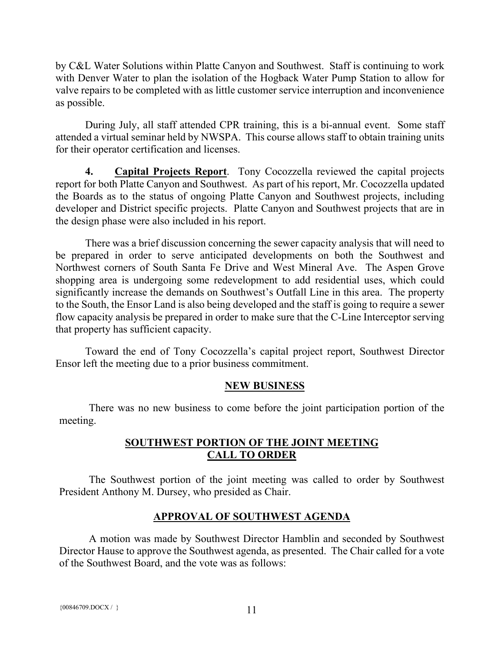by C&L Water Solutions within Platte Canyon and Southwest. Staff is continuing to work with Denver Water to plan the isolation of the Hogback Water Pump Station to allow for valve repairs to be completed with as little customer service interruption and inconvenience as possible.

During July, all staff attended CPR training, this is a bi-annual event. Some staff attended a virtual seminar held by NWSPA. This course allows staff to obtain training units for their operator certification and licenses.

**4. Capital Projects Report**. Tony Cocozzella reviewed the capital projects report for both Platte Canyon and Southwest. As part of his report, Mr. Cocozzella updated the Boards as to the status of ongoing Platte Canyon and Southwest projects, including developer and District specific projects. Platte Canyon and Southwest projects that are in the design phase were also included in his report.

There was a brief discussion concerning the sewer capacity analysis that will need to be prepared in order to serve anticipated developments on both the Southwest and Northwest corners of South Santa Fe Drive and West Mineral Ave. The Aspen Grove shopping area is undergoing some redevelopment to add residential uses, which could significantly increase the demands on Southwest's Outfall Line in this area. The property to the South, the Ensor Land is also being developed and the staff is going to require a sewer flow capacity analysis be prepared in order to make sure that the C-Line Interceptor serving that property has sufficient capacity.

Toward the end of Tony Cocozzella's capital project report, Southwest Director Ensor left the meeting due to a prior business commitment.

## **NEW BUSINESS**

There was no new business to come before the joint participation portion of the meeting.

## **SOUTHWEST PORTION OF THE JOINT MEETING CALL TO ORDER**

The Southwest portion of the joint meeting was called to order by Southwest President Anthony M. Dursey, who presided as Chair.

#### **APPROVAL OF SOUTHWEST AGENDA**

A motion was made by Southwest Director Hamblin and seconded by Southwest Director Hause to approve the Southwest agenda, as presented. The Chair called for a vote of the Southwest Board, and the vote was as follows: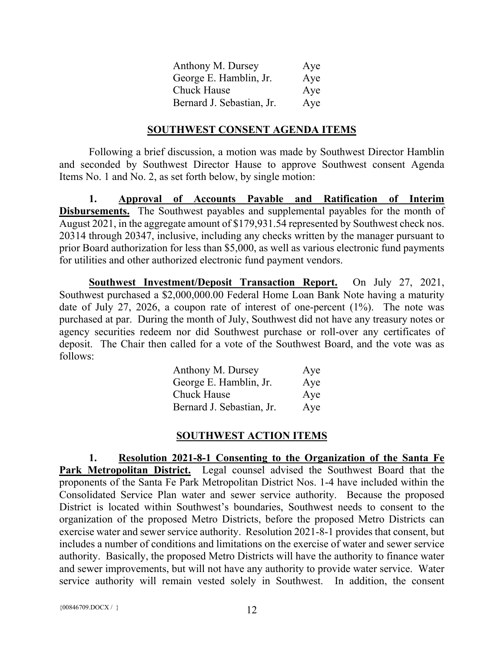| Anthony M. Dursey         | Aye |
|---------------------------|-----|
| George E. Hamblin, Jr.    | Aye |
| <b>Chuck Hause</b>        | Aye |
| Bernard J. Sebastian, Jr. | Aye |

#### **SOUTHWEST CONSENT AGENDA ITEMS**

Following a brief discussion, a motion was made by Southwest Director Hamblin and seconded by Southwest Director Hause to approve Southwest consent Agenda Items No. 1 and No. 2, as set forth below, by single motion:

**1. Approval of Accounts Payable and Ratification of Interim Disbursements.** The Southwest payables and supplemental payables for the month of August 2021, in the aggregate amount of \$179,931.54 represented by Southwest check nos. 20314 through 20347, inclusive, including any checks written by the manager pursuant to prior Board authorization for less than \$5,000, as well as various electronic fund payments for utilities and other authorized electronic fund payment vendors.

**Southwest Investment/Deposit Transaction Report.** On July 27, 2021, Southwest purchased a \$2,000,000.00 Federal Home Loan Bank Note having a maturity date of July 27, 2026, a coupon rate of interest of one-percent (1%). The note was purchased at par. During the month of July, Southwest did not have any treasury notes or agency securities redeem nor did Southwest purchase or roll-over any certificates of deposit. The Chair then called for a vote of the Southwest Board, and the vote was as follows:

| Anthony M. Dursey         | Aye |
|---------------------------|-----|
| George E. Hamblin, Jr.    | Aye |
| <b>Chuck Hause</b>        | Aye |
| Bernard J. Sebastian, Jr. | Aye |

## **SOUTHWEST ACTION ITEMS**

**1. Resolution 2021-8-1 Consenting to the Organization of the Santa Fe Park Metropolitan District.** Legal counsel advised the Southwest Board that the proponents of the Santa Fe Park Metropolitan District Nos. 1-4 have included within the Consolidated Service Plan water and sewer service authority. Because the proposed District is located within Southwest's boundaries, Southwest needs to consent to the organization of the proposed Metro Districts, before the proposed Metro Districts can exercise water and sewer service authority. Resolution 2021-8-1 provides that consent, but includes a number of conditions and limitations on the exercise of water and sewer service authority. Basically, the proposed Metro Districts will have the authority to finance water and sewer improvements, but will not have any authority to provide water service. Water service authority will remain vested solely in Southwest. In addition, the consent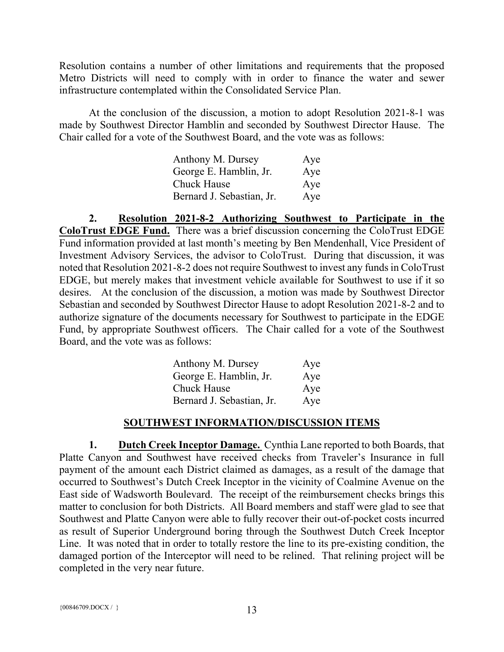Resolution contains a number of other limitations and requirements that the proposed Metro Districts will need to comply with in order to finance the water and sewer infrastructure contemplated within the Consolidated Service Plan.

At the conclusion of the discussion, a motion to adopt Resolution 2021-8-1 was made by Southwest Director Hamblin and seconded by Southwest Director Hause. The Chair called for a vote of the Southwest Board, and the vote was as follows:

| Anthony M. Dursey         | Aye |
|---------------------------|-----|
| George E. Hamblin, Jr.    | Aye |
| <b>Chuck Hause</b>        | Aye |
| Bernard J. Sebastian, Jr. | Aye |

**2. Resolution 2021-8-2 Authorizing Southwest to Participate in the ColoTrust EDGE Fund.** There was a brief discussion concerning the ColoTrust EDGE Fund information provided at last month's meeting by Ben Mendenhall, Vice President of Investment Advisory Services, the advisor to ColoTrust. During that discussion, it was noted that Resolution 2021-8-2 does not require Southwest to invest any funds in ColoTrust EDGE, but merely makes that investment vehicle available for Southwest to use if it so desires. At the conclusion of the discussion, a motion was made by Southwest Director Sebastian and seconded by Southwest Director Hause to adopt Resolution 2021-8-2 and to authorize signature of the documents necessary for Southwest to participate in the EDGE Fund, by appropriate Southwest officers. The Chair called for a vote of the Southwest Board, and the vote was as follows:

| Anthony M. Dursey         | Aye |
|---------------------------|-----|
| George E. Hamblin, Jr.    | Aye |
| <b>Chuck Hause</b>        | Aye |
| Bernard J. Sebastian, Jr. | Aye |

## **SOUTHWEST INFORMATION/DISCUSSION ITEMS**

**1. Dutch Creek Inceptor Damage.** Cynthia Lane reported to both Boards, that Platte Canyon and Southwest have received checks from Traveler's Insurance in full payment of the amount each District claimed as damages, as a result of the damage that occurred to Southwest's Dutch Creek Inceptor in the vicinity of Coalmine Avenue on the East side of Wadsworth Boulevard. The receipt of the reimbursement checks brings this matter to conclusion for both Districts. All Board members and staff were glad to see that Southwest and Platte Canyon were able to fully recover their out-of-pocket costs incurred as result of Superior Underground boring through the Southwest Dutch Creek Inceptor Line. It was noted that in order to totally restore the line to its pre-existing condition, the damaged portion of the Interceptor will need to be relined. That relining project will be completed in the very near future.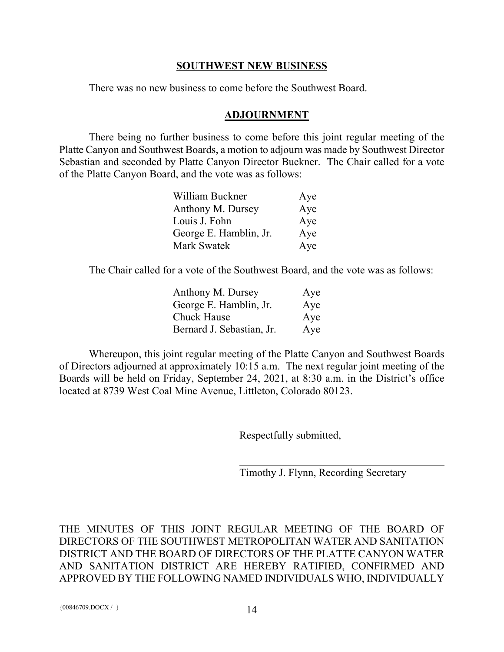#### **SOUTHWEST NEW BUSINESS**

There was no new business to come before the Southwest Board.

#### **ADJOURNMENT**

There being no further business to come before this joint regular meeting of the Platte Canyon and Southwest Boards, a motion to adjourn was made by Southwest Director Sebastian and seconded by Platte Canyon Director Buckner. The Chair called for a vote of the Platte Canyon Board, and the vote was as follows:

| William Buckner        | Aye |
|------------------------|-----|
| Anthony M. Dursey      | Aye |
| Louis J. Fohn          | Aye |
| George E. Hamblin, Jr. | Aye |
| Mark Swatek            | Aye |

The Chair called for a vote of the Southwest Board, and the vote was as follows:

| Anthony M. Dursey         | Aye |
|---------------------------|-----|
| George E. Hamblin, Jr.    | Aye |
| <b>Chuck Hause</b>        | Aye |
| Bernard J. Sebastian, Jr. | Aye |

Whereupon, this joint regular meeting of the Platte Canyon and Southwest Boards of Directors adjourned at approximately 10:15 a.m. The next regular joint meeting of the Boards will be held on Friday, September 24, 2021, at 8:30 a.m. in the District's office located at 8739 West Coal Mine Avenue, Littleton, Colorado 80123.

Respectfully submitted,

Timothy J. Flynn, Recording Secretary

THE MINUTES OF THIS JOINT REGULAR MEETING OF THE BOARD OF DIRECTORS OF THE SOUTHWEST METROPOLITAN WATER AND SANITATION DISTRICT AND THE BOARD OF DIRECTORS OF THE PLATTE CANYON WATER AND SANITATION DISTRICT ARE HEREBY RATIFIED, CONFIRMED AND APPROVED BY THE FOLLOWING NAMED INDIVIDUALS WHO, INDIVIDUALLY